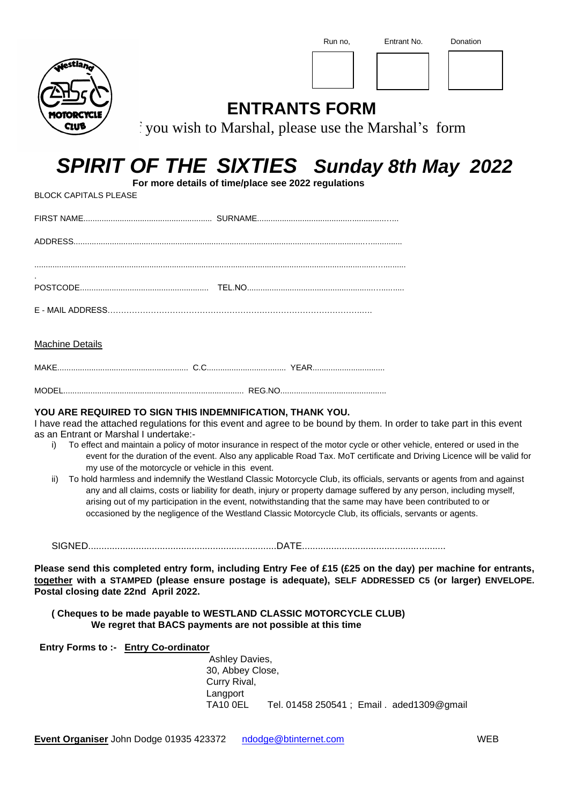

# *SPIRIT OF THE SIXTIES Sunday 8th May 2022*

 **For more details of time/place see 2022 regulations**

### Machine Details

BLOCK CAPITALS PLEASE

| MODEL |  |
|-------|--|

### **YOU ARE REQUIRED TO SIGN THIS INDEMNIFICATION, THANK YOU.**

I have read the attached regulations for this event and agree to be bound by them. In order to take part in this event as an Entrant or Marshal I undertake:-

- i) To effect and maintain a policy of motor insurance in respect of the motor cycle or other vehicle, entered or used in the event for the duration of the event. Also any applicable Road Tax. MoT certificate and Driving Licence will be valid for my use of the motorcycle or vehicle in this event.
- ii) To hold harmless and indemnify the Westland Classic Motorcycle Club, its officials, servants or agents from and against any and all claims, costs or liability for death, injury or property damage suffered by any person, including myself, arising out of my participation in the event, notwithstanding that the same may have been contributed to or occasioned by the negligence of the Westland Classic Motorcycle Club, its officials, servants or agents.

SIGNED.......................................................................DATE......................................................

**Please send this completed entry form, including Entry Fee of £15 (£25 on the day) per machine for entrants, together with a STAMPED (please ensure postage is adequate), SELF ADDRESSED C5 (or larger) ENVELOPE. Postal closing date 22nd April 2022.**

#### **( Cheques to be made payable to WESTLAND CLASSIC MOTORCYCLE CLUB) We regret that BACS payments are not possible at this time**

 **Entry Forms to :- Entry Co-ordinator**

Ashley Davies, 30, Abbey Close, Curry Rival, Langport TA10 0EL Tel. 01458 250541 ; Email . aded1309@gmail